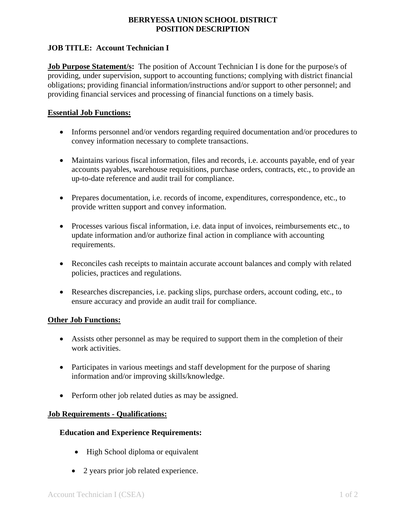# **BERRYESSA UNION SCHOOL DISTRICT POSITION DESCRIPTION**

### **JOB TITLE: Account Technician I**

**Job Purpose Statement/s:** The position of Account Technician I is done for the purpose/s of providing, under supervision, support to accounting functions; complying with district financial obligations; providing financial information/instructions and/or support to other personnel; and providing financial services and processing of financial functions on a timely basis.

#### **Essential Job Functions:**

- Informs personnel and/or vendors regarding required documentation and/or procedures to convey information necessary to complete transactions.
- Maintains various fiscal information, files and records, i.e. accounts payable, end of year accounts payables, warehouse requisitions, purchase orders, contracts, etc., to provide an up-to-date reference and audit trail for compliance.
- Prepares documentation, i.e. records of income, expenditures, correspondence, etc., to provide written support and convey information.
- Processes various fiscal information, i.e. data input of invoices, reimbursements etc., to update information and/or authorize final action in compliance with accounting requirements.
- Reconciles cash receipts to maintain accurate account balances and comply with related policies, practices and regulations.
- Researches discrepancies, i.e. packing slips, purchase orders, account coding, etc., to ensure accuracy and provide an audit trail for compliance.

## **Other Job Functions:**

- Assists other personnel as may be required to support them in the completion of their work activities.
- Participates in various meetings and staff development for the purpose of sharing information and/or improving skills/knowledge.
- Perform other job related duties as may be assigned.

## **Job Requirements - Qualifications:**

## **Education and Experience Requirements:**

- High School diploma or equivalent
- 2 years prior job related experience.